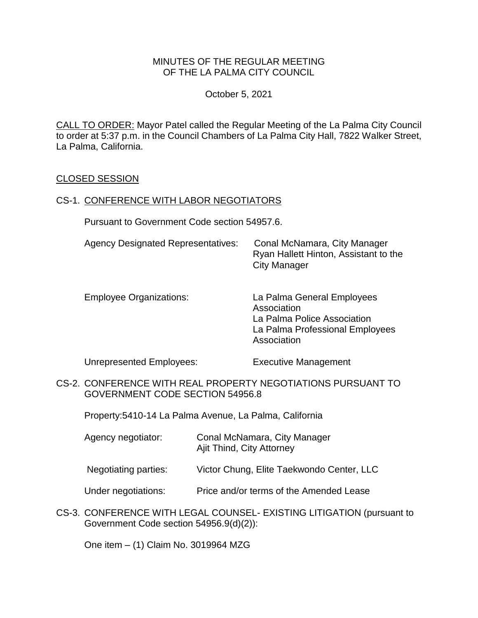### MINUTES OF THE REGULAR MEETING OF THE LA PALMA CITY COUNCIL

October 5, 2021

CALL TO ORDER: [Mayor Patel called the Regular Meeting of the La Palma City Council](https://lapalma.granicus.com/MediaPlayer.php?view_id=&clip_id=1270&meta_id=171062)  [to order at 5:37 p.m. in the Council Chambers of La Palma City Hall, 7822 Walker Street,](https://lapalma.granicus.com/MediaPlayer.php?view_id=&clip_id=1270&meta_id=171062)  [La Palma, California.](https://lapalma.granicus.com/MediaPlayer.php?view_id=&clip_id=1270&meta_id=171062)

#### [CLOSED SESSION](https://lapalma.granicus.com/MediaPlayer.php?view_id=&clip_id=1270&meta_id=171063)

#### CS-1. [CONFERENCE WITH LABOR NEGOTIATORS](https://lapalma.granicus.com/MediaPlayer.php?view_id=&clip_id=1270&meta_id=171064)

Pursuant to Government Code section 54957.6.

| <b>Agency Designated Representatives:</b> | Conal McNamara, City Manager          |
|-------------------------------------------|---------------------------------------|
|                                           | Ryan Hallett Hinton, Assistant to the |
|                                           | City Manager                          |

Employee Organizations: La Palma General Employees Association La Palma Police Association La Palma Professional Employees Association

Unrepresented Employees: Executive Management

CS-2. [CONFERENCE WITH REAL PROPERTY NEGOTIATIONS PURSUANT TO](https://lapalma.granicus.com/MediaPlayer.php?view_id=&clip_id=1270&meta_id=171065)  [GOVERNMENT CODE SECTION 54956.8](https://lapalma.granicus.com/MediaPlayer.php?view_id=&clip_id=1270&meta_id=171065)

Property:5410-14 La Palma Avenue, La Palma, California

- Agency negotiator: Conal McNamara, City Manager Ajit Thind, City Attorney
- Negotiating parties: Victor Chung, Elite Taekwondo Center, LLC
- Under negotiations: Price and/or terms of the Amended Lease
- CS-3. [CONFERENCE WITH LEGAL COUNSEL-](https://lapalma.granicus.com/MediaPlayer.php?view_id=&clip_id=1270&meta_id=171066) EXISTING LITIGATION (pursuant to [Government Code section 54956.9\(d\)\(2\)\):](https://lapalma.granicus.com/MediaPlayer.php?view_id=&clip_id=1270&meta_id=171066)

One item – (1) Claim No. 3019964 MZG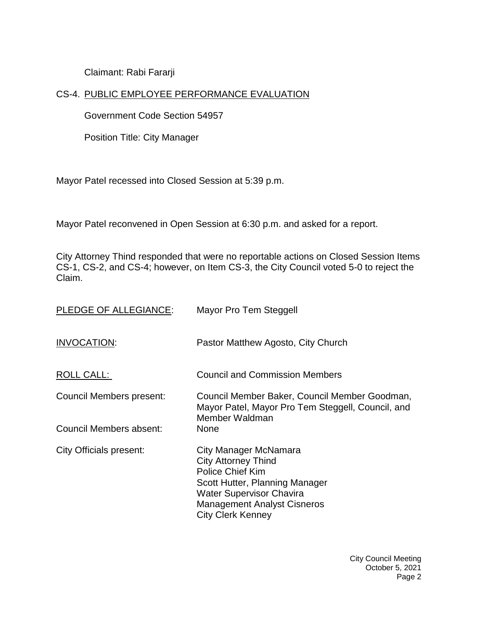Claimant: Rabi Fararji

# CS-4. [PUBLIC EMPLOYEE PERFORMANCE EVALUATION](https://lapalma.granicus.com/MediaPlayer.php?view_id=&clip_id=1270&meta_id=171067)

Government Code Section 54957

Position Title: City Manager

Mayor Patel recessed into Closed Session at 5:39 p.m.

Mayor Patel reconvened in Open Session at 6:30 p.m. and asked for a report.

City Attorney Thind responded that were no reportable actions on Closed Session Items CS-1, CS-2, and CS-4; however, on Item CS-3, the City Council voted 5-0 to reject the Claim.

| PLEDGE OF ALLEGIANCE:          | Mayor Pro Tem Steggell                                                                                                                                                                                                |
|--------------------------------|-----------------------------------------------------------------------------------------------------------------------------------------------------------------------------------------------------------------------|
| INVOCATION:                    | Pastor Matthew Agosto, City Church                                                                                                                                                                                    |
| ROLL CALL:                     | <b>Council and Commission Members</b>                                                                                                                                                                                 |
| Council Members present:       | Council Member Baker, Council Member Goodman,<br>Mayor Patel, Mayor Pro Tem Steggell, Council, and<br>Member Waldman                                                                                                  |
| Council Members absent:        | <b>None</b>                                                                                                                                                                                                           |
| <b>City Officials present:</b> | City Manager McNamara<br><b>City Attorney Thind</b><br><b>Police Chief Kim</b><br>Scott Hutter, Planning Manager<br><b>Water Supervisor Chavira</b><br><b>Management Analyst Cisneros</b><br><b>City Clerk Kenney</b> |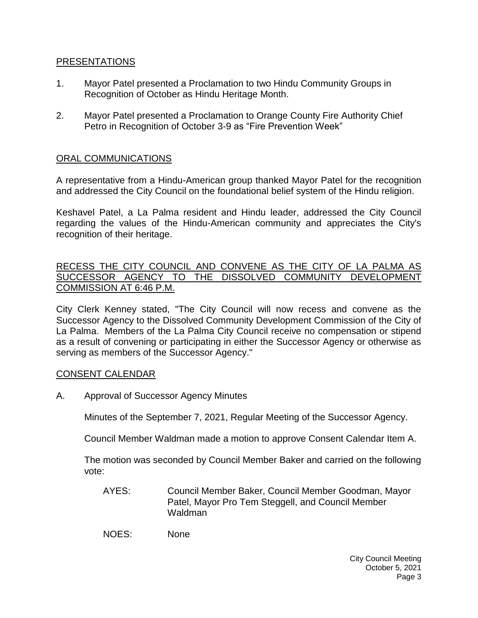## [PRESENTATIONS](https://lapalma.granicus.com/MediaPlayer.php?view_id=&clip_id=1270&meta_id=171071)

- 1. [Mayor Patel presented a Proclamation to two Hindu Community Groups in](https://lapalma.granicus.com/MediaPlayer.php?view_id=&clip_id=1270&meta_id=171072)  [Recognition of October as Hindu Heritage Month.](https://lapalma.granicus.com/MediaPlayer.php?view_id=&clip_id=1270&meta_id=171072)
- 2. [Mayor Patel presented a Proclamation to Orange County Fire Authority Chief](https://lapalma.granicus.com/MediaPlayer.php?view_id=&clip_id=1270&meta_id=171073)  [Petro in Recognition of October 3-9 as "Fire Prevention Week"](https://lapalma.granicus.com/MediaPlayer.php?view_id=&clip_id=1270&meta_id=171073)

# [ORAL COMMUNICATIONS](https://lapalma.granicus.com/MediaPlayer.php?view_id=&clip_id=1270&meta_id=171074)

A representative from a Hindu-American group thanked Mayor Patel for the recognition and addressed the City Council on the foundational belief system of the Hindu religion.

Keshavel Patel, a La Palma resident and Hindu leader, addressed the City Council regarding the values of the Hindu-American community and appreciates the City's recognition of their heritage.

### [RECESS THE CITY COUNCIL AND CONVENE AS THE CITY OF LA PALMA AS](https://lapalma.granicus.com/MediaPlayer.php?view_id=&clip_id=1270&meta_id=171075)  [SUCCESSOR AGENCY TO THE DISSOLVED COMMUNITY DEVELOPMENT](https://lapalma.granicus.com/MediaPlayer.php?view_id=&clip_id=1270&meta_id=171075)  [COMMISSION AT 6:46 P.M.](https://lapalma.granicus.com/MediaPlayer.php?view_id=&clip_id=1270&meta_id=171075)

[City Clerk Kenney stated, "The City Council will now recess and convene as the](https://lapalma.granicus.com/MediaPlayer.php?view_id=&clip_id=1270&meta_id=171076)  [Successor Agency to the Dissolved Community Development Commission of the City of](https://lapalma.granicus.com/MediaPlayer.php?view_id=&clip_id=1270&meta_id=171076)  La Palma. [Members of the La Palma City Council receive no compensation or stipend](https://lapalma.granicus.com/MediaPlayer.php?view_id=&clip_id=1270&meta_id=171076)  [as a result of convening or participating in either the Successor Agency or otherwise as](https://lapalma.granicus.com/MediaPlayer.php?view_id=&clip_id=1270&meta_id=171076)  [serving as members of the Successor Agency."](https://lapalma.granicus.com/MediaPlayer.php?view_id=&clip_id=1270&meta_id=171076)

### [CONSENT CALENDAR](https://lapalma.granicus.com/MediaPlayer.php?view_id=&clip_id=1270&meta_id=171077)

A. Approval of Successor Agency Minutes

Minutes of the September 7, 2021, Regular Meeting of the Successor Agency.

Council Member Waldman made a motion to approve Consent Calendar Item A.

The motion was seconded by Council Member Baker and carried on the following vote:

AYES: Council Member Baker, Council Member Goodman, Mayor Patel, Mayor Pro Tem Steggell, and Council Member Waldman

NOES: None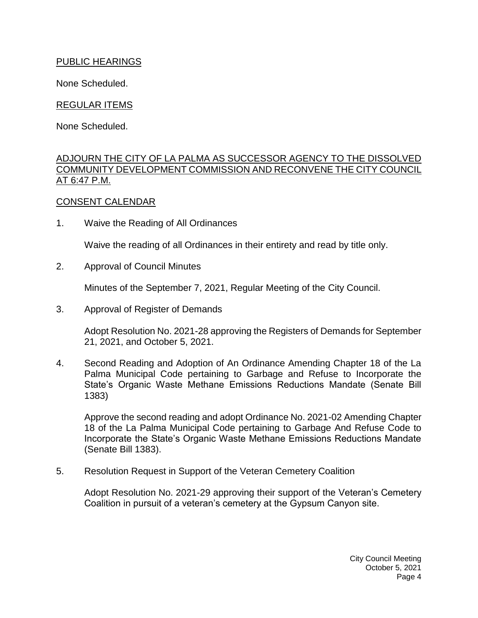# PUBLIC HEARINGS

None Scheduled.

# REGULAR ITEMS

None Scheduled.

## [ADJOURN THE CITY OF LA PALMA AS SUCCESSOR AGENCY TO THE DISSOLVED](https://lapalma.granicus.com/MediaPlayer.php?view_id=&clip_id=1270&meta_id=171081)  [COMMUNITY DEVELOPMENT COMMISSION AND RECONVENE THE CITY COUNCIL](https://lapalma.granicus.com/MediaPlayer.php?view_id=&clip_id=1270&meta_id=171081)  [AT 6:47 P.M.](https://lapalma.granicus.com/MediaPlayer.php?view_id=&clip_id=1270&meta_id=171081)

# CONSENT CALENDAR

1. Waive the Reading of All Ordinances

Waive the reading of all Ordinances in their entirety and read by title only.

2. Approval of Council Minutes

Minutes of the September 7, 2021, Regular Meeting of the City Council.

3. Approval of Register of Demands

Adopt Resolution No. 2021-28 approving the Registers of Demands for September 21, 2021, and October 5, 2021.

4. Second Reading and Adoption of An Ordinance Amending Chapter 18 of the La Palma Municipal Code pertaining to Garbage and Refuse to Incorporate the State's Organic Waste Methane Emissions Reductions Mandate (Senate Bill 1383)

Approve the second reading and adopt Ordinance No. 2021-02 Amending Chapter 18 of the La Palma Municipal Code pertaining to Garbage And Refuse Code to Incorporate the State's Organic Waste Methane Emissions Reductions Mandate (Senate Bill 1383).

5. Resolution Request in Support of the Veteran Cemetery Coalition

Adopt Resolution No. 2021-29 approving their support of the Veteran's Cemetery Coalition in pursuit of a veteran's cemetery at the Gypsum Canyon site.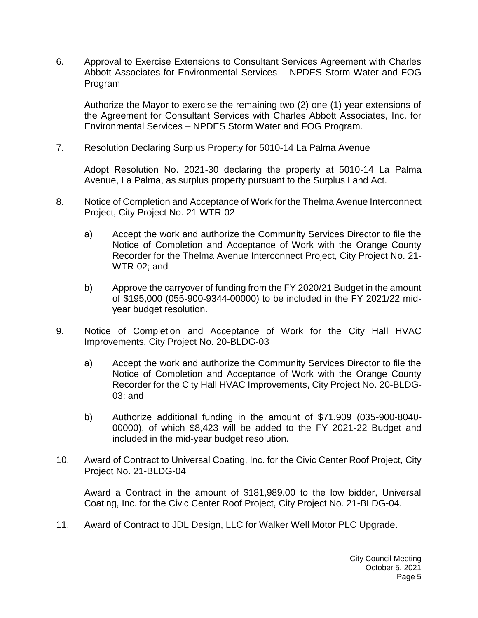6. Approval to Exercise Extensions to Consultant Services Agreement with Charles Abbott Associates for Environmental Services – NPDES Storm Water and FOG Program

Authorize the Mayor to exercise the remaining two (2) one (1) year extensions of the Agreement for Consultant Services with Charles Abbott Associates, Inc. for Environmental Services – NPDES Storm Water and FOG Program.

7. Resolution Declaring Surplus Property for 5010-14 La Palma Avenue

Adopt Resolution No. 2021-30 declaring the property at 5010-14 La Palma Avenue, La Palma, as surplus property pursuant to the Surplus Land Act.

- 8. Notice of Completion and Acceptance of Work for the Thelma Avenue Interconnect Project, City Project No. 21-WTR-02
	- a) Accept the work and authorize the Community Services Director to file the Notice of Completion and Acceptance of Work with the Orange County Recorder for the Thelma Avenue Interconnect Project, City Project No. 21- WTR-02; and
	- b) Approve the carryover of funding from the FY 2020/21 Budget in the amount of \$195,000 (055-900-9344-00000) to be included in the FY 2021/22 midyear budget resolution.
- 9. Notice of Completion and Acceptance of Work for the City Hall HVAC Improvements, City Project No. 20-BLDG-03
	- a) Accept the work and authorize the Community Services Director to file the Notice of Completion and Acceptance of Work with the Orange County Recorder for the City Hall HVAC Improvements, City Project No. 20-BLDG-03: and
	- b) Authorize additional funding in the amount of \$71,909 (035-900-8040- 00000), of which \$8,423 will be added to the FY 2021-22 Budget and included in the mid-year budget resolution.
- 10. Award of Contract to Universal Coating, Inc. for the Civic Center Roof Project, City Project No. 21-BLDG-04

Award a Contract in the amount of \$181,989.00 to the low bidder, Universal Coating, Inc. for the Civic Center Roof Project, City Project No. 21-BLDG-04.

11. Award of Contract to JDL Design, LLC for Walker Well Motor PLC Upgrade.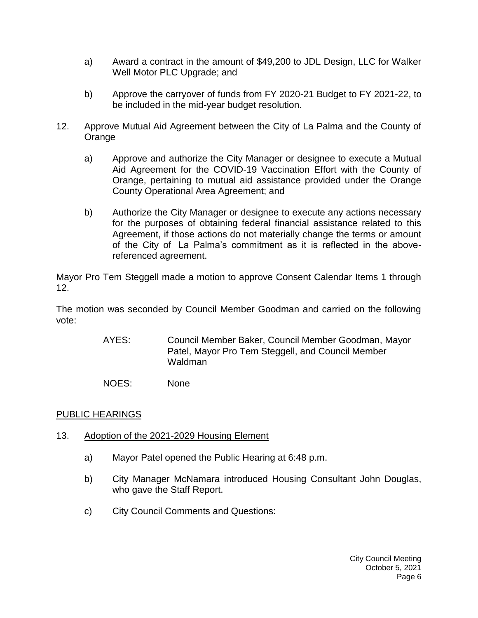- a) Award a contract in the amount of \$49,200 to JDL Design, LLC for Walker Well Motor PLC Upgrade; and
- b) Approve the carryover of funds from FY 2020-21 Budget to FY 2021-22, to be included in the mid-year budget resolution.
- 12. Approve Mutual Aid Agreement between the City of La Palma and the County of **Orange** 
	- a) Approve and authorize the City Manager or designee to execute a Mutual Aid Agreement for the COVID-19 Vaccination Effort with the County of Orange, pertaining to mutual aid assistance provided under the Orange County Operational Area Agreement; and
	- b) Authorize the City Manager or designee to execute any actions necessary for the purposes of obtaining federal financial assistance related to this Agreement, if those actions do not materially change the terms or amount of the City of La Palma's commitment as it is reflected in the abovereferenced agreement.

Mayor Pro Tem Steggell made a motion to approve Consent Calendar Items 1 through 12.

The motion was seconded by Council Member Goodman and carried on the following vote:

- AYES: Council Member Baker, Council Member Goodman, Mayor Patel, Mayor Pro Tem Steggell, and Council Member Waldman
- NOES: None

# [PUBLIC HEARINGS](https://lapalma.granicus.com/MediaPlayer.php?view_id=&clip_id=1270&meta_id=171104)

- 13. [Adoption of the 2021-2029 Housing Element](https://lapalma.granicus.com/MediaPlayer.php?view_id=&clip_id=1270&meta_id=171105)
	- a) [Mayor Patel opened the Public Hearing at 6:48 p.m.](https://lapalma.granicus.com/MediaPlayer.php?view_id=&clip_id=1270&meta_id=171106)
	- b) [City Manager McNamara introduced Housing Consultant John Douglas,](https://lapalma.granicus.com/MediaPlayer.php?view_id=&clip_id=1270&meta_id=171107)  [who gave the Staff Report.](https://lapalma.granicus.com/MediaPlayer.php?view_id=&clip_id=1270&meta_id=171107)
	- c) [City Council Comments and Questions:](https://lapalma.granicus.com/MediaPlayer.php?view_id=&clip_id=1270&meta_id=171108)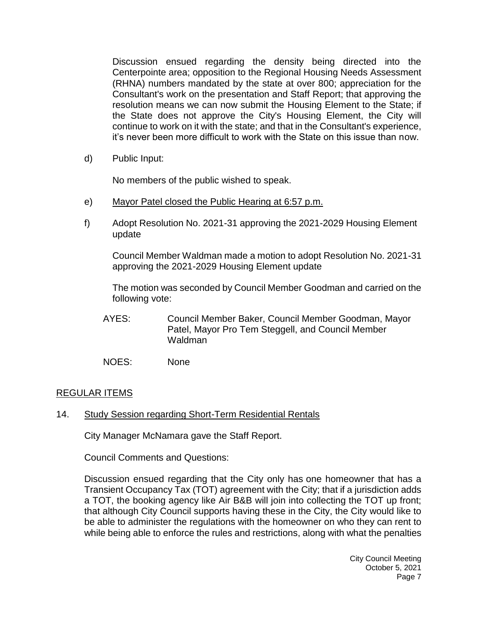Discussion ensued regarding the density being directed into the Centerpointe area; opposition to the Regional Housing Needs Assessment (RHNA) numbers mandated by the state at over 800; appreciation for the Consultant's work on the presentation and Staff Report; that approving the resolution means we can now submit the Housing Element to the State; if the State does not approve the City's Housing Element, the City will continue to work on it with the state; and that in the Consultant's experience, it's never been more difficult to work with the State on this issue than now.

d) [Public Input:](https://lapalma.granicus.com/MediaPlayer.php?view_id=&clip_id=1270&meta_id=171109)

No members of the public wished to speak.

- e) [Mayor Patel closed the Public Hearing at 6:57 p.m.](https://lapalma.granicus.com/MediaPlayer.php?view_id=&clip_id=1270&meta_id=171110)
- f) Adopt Resolution No. 2021-31 approving the 2021-2029 Housing Element update

Council Member Waldman made a motion to adopt Resolution No. 2021-31 approving the 2021-2029 Housing Element update

The motion was seconded by Council Member Goodman and carried on the following vote:

- AYES: Council Member Baker, Council Member Goodman, Mayor Patel, Mayor Pro Tem Steggell, and Council Member Waldman
- NOES: None

# [REGULAR ITEMS](https://lapalma.granicus.com/MediaPlayer.php?view_id=&clip_id=1270&meta_id=171112)

### 14. [Study Session regarding Short-Term Residential Rentals](https://lapalma.granicus.com/MediaPlayer.php?view_id=&clip_id=1270&meta_id=171113)

City Manager McNamara gave the Staff Report.

Council Comments and Questions:

Discussion ensued regarding that the City only has one homeowner that has a Transient Occupancy Tax (TOT) agreement with the City; that if a jurisdiction adds a TOT, the booking agency like Air B&B will join into collecting the TOT up front; that although City Council supports having these in the City, the City would like to be able to administer the regulations with the homeowner on who they can rent to while being able to enforce the rules and restrictions, along with what the penalties

> City Council Meeting October 5, 2021 Page 7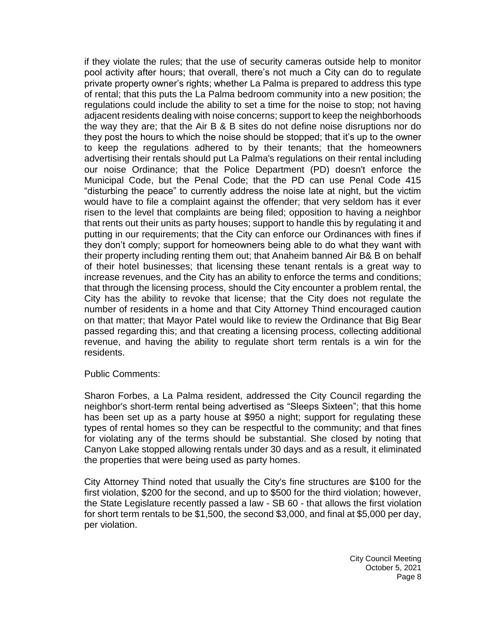if they violate the rules; that the use of security cameras outside help to monitor pool activity after hours; that overall, there's not much a City can do to regulate private property owner's rights; whether La Palma is prepared to address this type of rental; that this puts the La Palma bedroom community into a new position; the regulations could include the ability to set a time for the noise to stop; not having adjacent residents dealing with noise concerns; support to keep the neighborhoods the way they are; that the Air B & B sites do not define noise disruptions nor do they post the hours to which the noise should be stopped; that it's up to the owner to keep the regulations adhered to by their tenants; that the homeowners advertising their rentals should put La Palma's regulations on their rental including our noise Ordinance; that the Police Department (PD) doesn't enforce the Municipal Code, but the Penal Code; that the PD can use Penal Code 415 "disturbing the peace" to currently address the noise late at night, but the victim would have to file a complaint against the offender; that very seldom has it ever risen to the level that complaints are being filed; opposition to having a neighbor that rents out their units as party houses; support to handle this by regulating it and putting in our requirements; that the City can enforce our Ordinances with fines if they don't comply; support for homeowners being able to do what they want with their property including renting them out; that Anaheim banned Air B& B on behalf of their hotel businesses; that licensing these tenant rentals is a great way to increase revenues, and the City has an ability to enforce the terms and conditions; that through the licensing process, should the City encounter a problem rental, the City has the ability to revoke that license; that the City does not regulate the number of residents in a home and that City Attorney Thind encouraged caution on that matter; that Mayor Patel would like to review the Ordinance that Big Bear passed regarding this; and that creating a licensing process, collecting additional revenue, and having the ability to regulate short term rentals is a win for the residents.

#### Public Comments:

Sharon Forbes, a La Palma resident, addressed the City Council regarding the neighbor's short-term rental being advertised as "Sleeps Sixteen"; that this home has been set up as a party house at \$950 a night; support for regulating these types of rental homes so they can be respectful to the community; and that fines for violating any of the terms should be substantial. She closed by noting that Canyon Lake stopped allowing rentals under 30 days and as a result, it eliminated the properties that were being used as party homes.

City Attorney Thind noted that usually the City's fine structures are \$100 for the first violation, \$200 for the second, and up to \$500 for the third violation; however, the State Legislature recently passed a law - SB 60 - that allows the first violation for short term rentals to be \$1,500, the second \$3,000, and final at \$5,000 per day, per violation.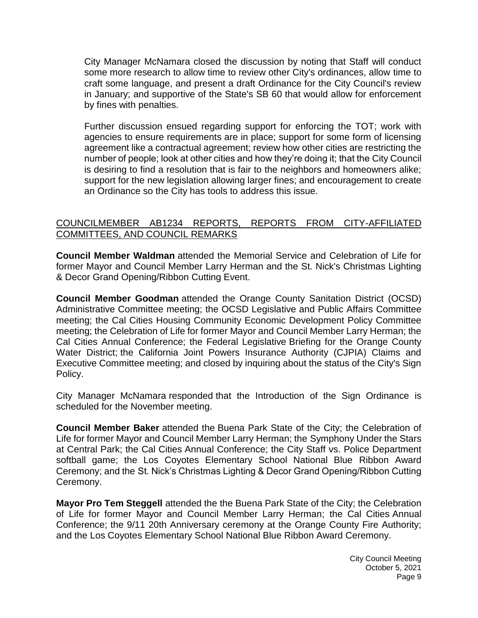City Manager McNamara closed the discussion by noting that Staff will conduct some more research to allow time to review other City's ordinances, allow time to craft some language, and present a draft Ordinance for the City Council's review in January; and supportive of the State's SB 60 that would allow for enforcement by fines with penalties.

Further discussion ensued regarding support for enforcing the TOT; work with agencies to ensure requirements are in place; support for some form of licensing agreement like a contractual agreement; review how other cities are restricting the number of people; look at other cities and how they're doing it; that the City Council is desiring to find a resolution that is fair to the neighbors and homeowners alike; support for the new legislation allowing larger fines; and encouragement to create an Ordinance so the City has tools to address this issue.

## [COUNCILMEMBER AB1234 REPORTS, REPORTS FROM CITY-AFFILIATED](https://lapalma.granicus.com/MediaPlayer.php?view_id=&clip_id=1270&meta_id=171114)  [COMMITTEES, AND COUNCIL REMARKS](https://lapalma.granicus.com/MediaPlayer.php?view_id=&clip_id=1270&meta_id=171114)

**Council Member Waldman** attended the Memorial Service and Celebration of Life for former Mayor and Council Member Larry Herman and the St. Nick's Christmas Lighting & Decor Grand Opening/Ribbon Cutting Event.

**Council Member Goodman** attended the Orange County Sanitation District (OCSD) Administrative Committee meeting; the OCSD Legislative and Public Affairs Committee meeting; the Cal Cities Housing Community Economic Development Policy Committee meeting; the Celebration of Life for former Mayor and Council Member Larry Herman; the Cal Cities Annual Conference; the Federal Legislative Briefing for the Orange County Water District; the California Joint Powers Insurance Authority (CJPIA) Claims and Executive Committee meeting; and closed by inquiring about the status of the City's Sign Policy.

City Manager McNamara responded that the Introduction of the Sign Ordinance is scheduled for the November meeting.

**Council Member Baker** attended the Buena Park State of the City; the Celebration of Life for former Mayor and Council Member Larry Herman; the Symphony Under the Stars at Central Park; the Cal Cities Annual Conference; the City Staff vs. Police Department softball game; the Los Coyotes Elementary School National Blue Ribbon Award Ceremony; and the St. Nick's Christmas Lighting & Decor Grand Opening/Ribbon Cutting Ceremony.

**Mayor Pro Tem Steggell** attended the the Buena Park State of the City; the Celebration of Life for former Mayor and Council Member Larry Herman; the Cal Cities Annual Conference; the 9/11 20th Anniversary ceremony at the Orange County Fire Authority; and the Los Coyotes Elementary School National Blue Ribbon Award Ceremony.